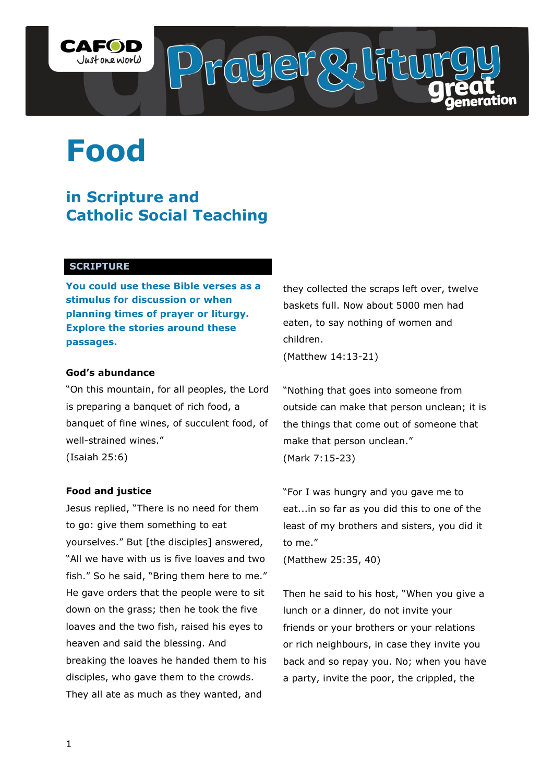

# **Food**

# **in Scripture and Catholic Social Teaching**

### **SCRIPTURE**

**You could use these Bible verses as a stimulus for discussion or when planning times of prayer or liturgy. Explore the stories around these passages.**

#### **God's abundance**

"On this mountain, for all peoples, the Lord is preparing a banquet of rich food, a banquet of fine wines, of succulent food, of well-strained wines."

(Isaiah 25:6)

#### **Food and justice**

Jesus replied, "There is no need for them to go: give them something to eat yourselves." But [the disciples] answered, "All we have with us is five loaves and two fish." So he said, "Bring them here to me." He gave orders that the people were to sit down on the grass; then he took the five loaves and the two fish, raised his eyes to heaven and said the blessing. And breaking the loaves he handed them to his disciples, who gave them to the crowds. They all ate as much as they wanted, and

they collected the scraps left over, twelve baskets full. Now about 5000 men had eaten, to say nothing of women and children.

(Matthew 14:13-21)

"Nothing that goes into someone from outside can make that person unclean; it is the things that come out of someone that make that person unclean." (Mark 7:15-23)

"For I was hungry and you gave me to eat...in so far as you did this to one of the least of my brothers and sisters, you did it to me."

(Matthew 25:35, 40)

Then he said to his host, "When you give a lunch or a dinner, do not invite your friends or your brothers or your relations or rich neighbours, in case they invite you back and so repay you. No; when you have a party, invite the poor, the crippled, the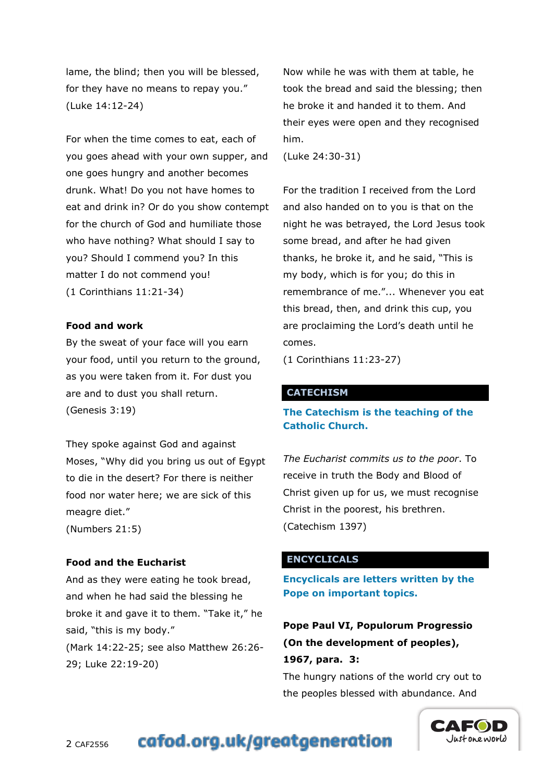lame, the blind; then you will be blessed, for they have no means to repay you." (Luke 14:12-24)

For when the time comes to eat, each of you goes ahead with your own supper, and one goes hungry and another becomes drunk. What! Do you not have homes to eat and drink in? Or do you show contempt for the church of God and humiliate those who have nothing? What should I say to you? Should I commend you? In this matter I do not commend you! (1 Corinthians 11:21-34)

#### **Food and work**

By the sweat of your face will you earn your food, until you return to the ground, as you were taken from it. For dust you are and to dust you shall return. (Genesis 3:19)

They spoke against God and against Moses, "Why did you bring us out of Egypt to die in the desert? For there is neither food nor water here; we are sick of this meagre diet." (Numbers 21:5)

#### **Food and the Eucharist**

And as they were eating he took bread, and when he had said the blessing he broke it and gave it to them. "Take it," he said, "this is my body."

(Mark 14:22-25; see also Matthew 26:26- 29; Luke 22:19-20)

Now while he was with them at table, he took the bread and said the blessing; then he broke it and handed it to them. And their eyes were open and they recognised him.

(Luke 24:30-31)

For the tradition I received from the Lord and also handed on to you is that on the night he was betrayed, the Lord Jesus took some bread, and after he had given thanks, he broke it, and he said, "This is my body, which is for you; do this in remembrance of me."... Whenever you eat this bread, then, and drink this cup, you are proclaiming the Lord"s death until he comes.

(1 Corinthians 11:23-27)

#### **CATECHISM**

# **The Catechism is the teaching of the Catholic Church.**

*The Eucharist commits us to the poor*. To receive in truth the Body and Blood of Christ given up for us, we must recognise Christ in the poorest, his brethren. (Catechism 1397)

#### **ENCYCLICALS**

**Encyclicals are letters written by the Pope on important topics.**

**Pope Paul VI, Populorum Progressio (On the development of peoples), 1967, para. 3:**

The hungry nations of the world cry out to the peoples blessed with abundance. And

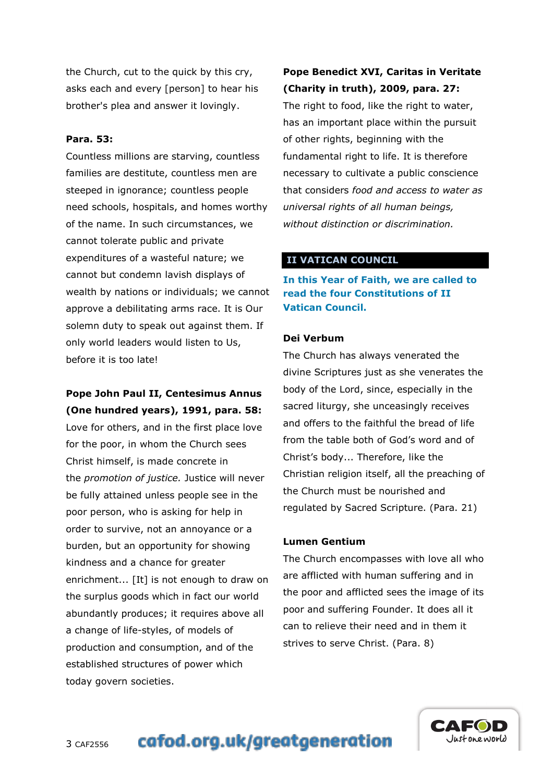the Church, cut to the quick by this cry, asks each and every [person] to hear his brother's plea and answer it lovingly.

#### **Para. 53:**

Countless millions are starving, countless families are destitute, countless men are steeped in ignorance; countless people need schools, hospitals, and homes worthy of the name. In such circumstances, we cannot tolerate public and private expenditures of a wasteful nature; we cannot but condemn lavish displays of wealth by nations or individuals; we cannot approve a debilitating arms race. It is Our solemn duty to speak out against them. If only world leaders would listen to Us, before it is too late!

# **Pope John Paul II, Centesimus Annus (One hundred years), 1991, para. 58:**

Love for others, and in the first place love for the poor, in whom the Church sees Christ himself, is made concrete in the *promotion of justice.* Justice will never be fully attained unless people see in the poor person, who is asking for help in order to survive, not an annoyance or a burden, but an opportunity for showing kindness and a chance for greater enrichment... [It] is not enough to draw on the surplus goods which in fact our world abundantly produces; it requires above all a change of life-styles, of models of production and consumption, and of the established structures of power which today govern societies.

# **Pope Benedict XVI, Caritas in Veritate (Charity in truth), 2009, para. 27:**

The right to food, like the right to water, has an important place within the pursuit of other rights, beginning with the fundamental right to life. It is therefore necessary to cultivate a public conscience that considers *food and access to water as universal rights of all human beings, without distinction or discrimination.*

# **II VATICAN COUNCIL**

**In this Year of Faith, we are called to read the four Constitutions of II Vatican Council.**

#### **Dei Verbum**

The Church has always venerated the divine Scriptures just as she venerates the body of the Lord, since, especially in the sacred liturgy, she unceasingly receives and offers to the faithful the bread of life from the table both of God's word and of Christ"s body... Therefore, like the Christian religion itself, all the preaching of the Church must be nourished and regulated by Sacred Scripture. (Para. 21)

#### **Lumen Gentium**

The Church encompasses with love all who are afflicted with human suffering and in the poor and afflicted sees the image of its poor and suffering Founder. It does all it can to relieve their need and in them it strives to serve Christ. (Para. 8)



cafod.org.uk/greatgeneration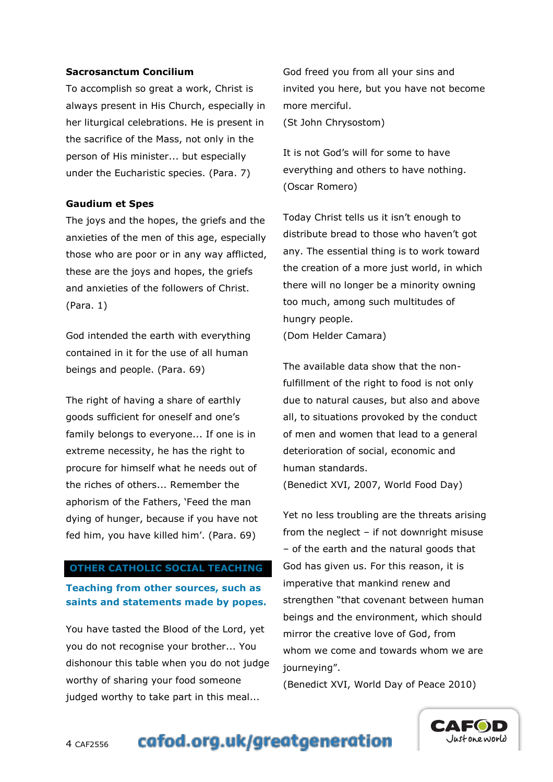#### **Sacrosanctum Concilium**

To accomplish so great a work, Christ is always present in His Church, especially in her liturgical celebrations. He is present in the sacrifice of the Mass, not only in the person of His minister... but especially under the Eucharistic species. (Para. 7)

#### **Gaudium et Spes**

The joys and the hopes, the griefs and the anxieties of the men of this age, especially those who are poor or in any way afflicted, these are the joys and hopes, the griefs and anxieties of the followers of Christ. (Para. 1)

God intended the earth with everything contained in it for the use of all human beings and people. (Para. 69)

The right of having a share of earthly goods sufficient for oneself and one"s family belongs to everyone... If one is in extreme necessity, he has the right to procure for himself what he needs out of the riches of others... Remember the aphorism of the Fathers, "Feed the man dying of hunger, because if you have not fed him, you have killed him'. (Para. 69)

#### **OTHER CATHOLIC SOCIAL TEACHING**

# **Teaching from other sources, such as saints and statements made by popes.**

You have tasted the Blood of the Lord, yet you do not recognise your brother... You dishonour this table when you do not judge worthy of sharing your food someone judged worthy to take part in this meal...

God freed you from all your sins and invited you here, but you have not become more merciful.

(St John Chrysostom)

It is not God"s will for some to have everything and others to have nothing. (Oscar Romero)

Today Christ tells us it isn"t enough to distribute bread to those who haven"t got any. The essential thing is to work toward the creation of a more just world, in which there will no longer be a minority owning too much, among such multitudes of hungry people.

(Dom Helder Camara)

The available data show that the nonfulfillment of the right to food is not only due to natural causes, but also and above all, to situations provoked by the conduct of men and women that lead to a general deterioration of social, economic and human standards.

(Benedict XVI, 2007, World Food Day)

Yet no less troubling are the threats arising from the neglect – if not downright misuse – of the earth and the natural goods that God has given us. For this reason, it is imperative that mankind renew and strengthen "that covenant between human beings and the environment, which should mirror the creative love of God, from whom we come and towards whom we are journeying".

(Benedict XVI, World Day of Peace 2010)



# cafod.org.uk/greatgeneration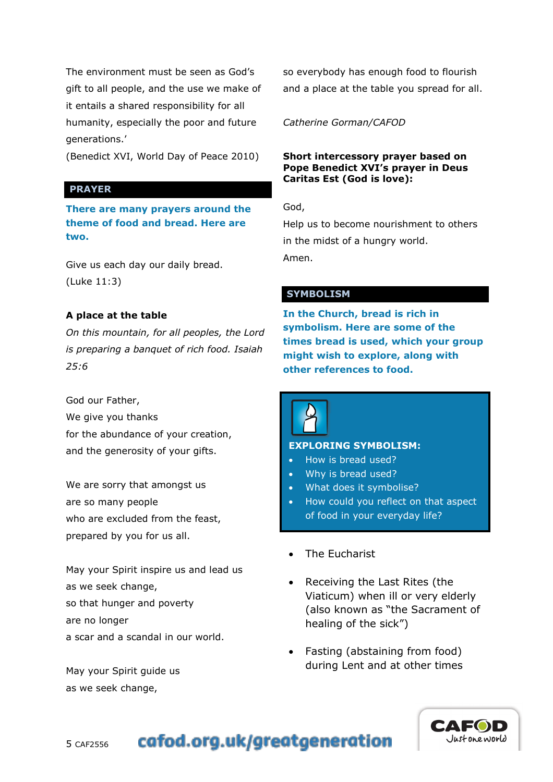The environment must be seen as God"s gift to all people, and the use we make of it entails a shared responsibility for all humanity, especially the poor and future generations."

(Benedict XVI, World Day of Peace 2010)

#### **PRAYER**

**There are many prayers around the theme of food and bread. Here are two.**

Give us each day our daily bread. (Luke 11:3)

# **A place at the table**

*On this mountain, for all peoples, the Lord is preparing a banquet of rich food. Isaiah 25:6* 

God our Father, We give you thanks for the abundance of your creation, and the generosity of your gifts.

We are sorry that amongst us are so many people who are excluded from the feast, prepared by you for us all.

May your Spirit inspire us and lead us as we seek change, so that hunger and poverty are no longer a scar and a scandal in our world.

May your Spirit guide us as we seek change,

so everybody has enough food to flourish and a place at the table you spread for all.

*Catherine Gorman/CAFOD*

#### **Short intercessory prayer based on Pope Benedict XVI's prayer in Deus Caritas Est (God is love):**

God,

Help us to become nourishment to others in the midst of a hungry world. Amen.

# **SYMBOLISM**

**In the Church, bread is rich in symbolism. Here are some of the times bread is used, which your group might wish to explore, along with other references to food.**



#### **EXPLORING SYMBOLISM:**

- How is bread used?
- Why is bread used?
- What does it symbolise?
- How could you reflect on that aspect of food in your everyday life?
- The Eucharist
- Receiving the Last Rites (the Viaticum) when ill or very elderly (also known as "the Sacrament of healing of the sick")
- Fasting (abstaining from food) during Lent and at other times